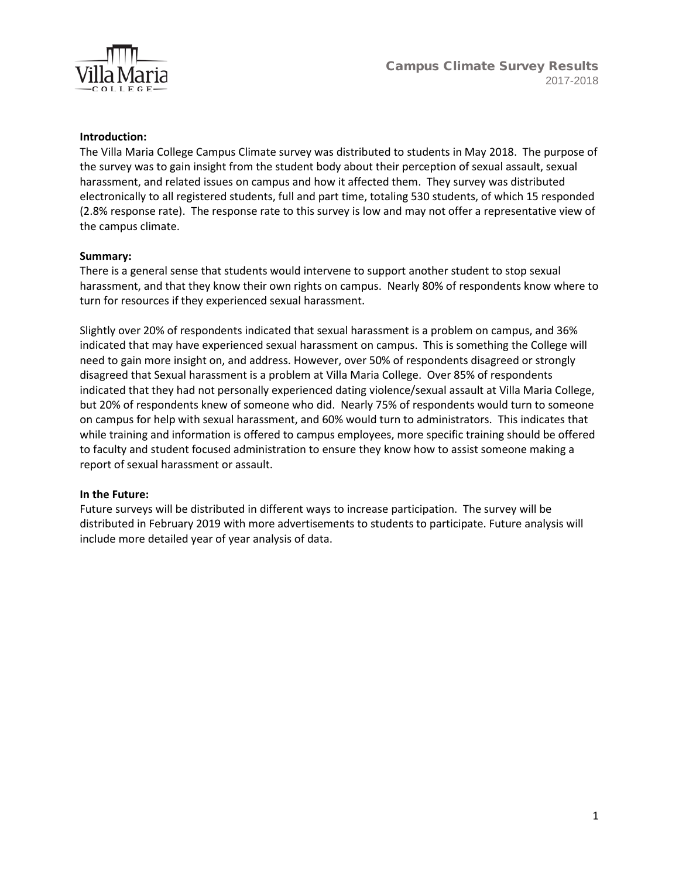

### **Introduction:**

The Villa Maria College Campus Climate survey was distributed to students in May 2018. The purpose of the survey was to gain insight from the student body about their perception of sexual assault, sexual harassment, and related issues on campus and how it affected them. They survey was distributed electronically to all registered students, full and part time, totaling 530 students, of which 15 responded (2.8% response rate). The response rate to this survey is low and may not offer a representative view of the campus climate.

#### **Summary:**

There is a general sense that students would intervene to support another student to stop sexual harassment, and that they know their own rights on campus. Nearly 80% of respondents know where to turn for resources if they experienced sexual harassment.

Slightly over 20% of respondents indicated that sexual harassment is a problem on campus, and 36% indicated that may have experienced sexual harassment on campus. This is something the College will need to gain more insight on, and address. However, over 50% of respondents disagreed or strongly disagreed that Sexual harassment is a problem at Villa Maria College. Over 85% of respondents indicated that they had not personally experienced dating violence/sexual assault at Villa Maria College, but 20% of respondents knew of someone who did. Nearly 75% of respondents would turn to someone on campus for help with sexual harassment, and 60% would turn to administrators. This indicates that while training and information is offered to campus employees, more specific training should be offered to faculty and student focused administration to ensure they know how to assist someone making a report of sexual harassment or assault.

### **In the Future:**

Future surveys will be distributed in different ways to increase participation. The survey will be distributed in February 2019 with more advertisements to students to participate. Future analysis will include more detailed year of year analysis of data.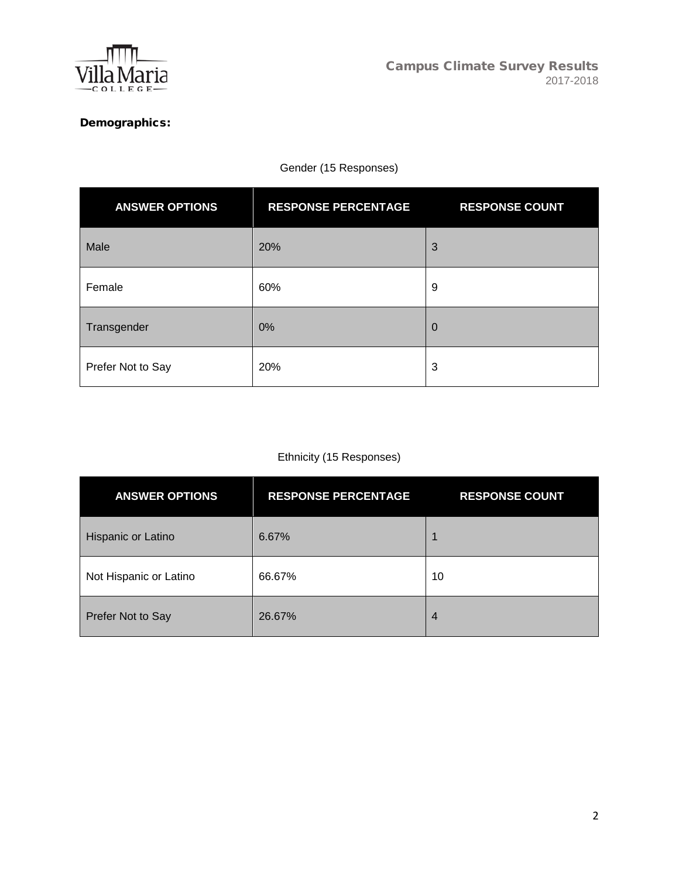

# Demographics:

# Gender (15 Responses)

| <b>ANSWER OPTIONS</b> | <b>RESPONSE PERCENTAGE</b> | <b>RESPONSE COUNT</b> |
|-----------------------|----------------------------|-----------------------|
| Male                  | 20%                        | 3                     |
| Female                | 60%                        | 9                     |
| Transgender           | 0%                         | 0                     |
| Prefer Not to Say     | 20%                        | 3                     |

# Ethnicity (15 Responses)

| <b>ANSWER OPTIONS</b>  | <b>RESPONSE PERCENTAGE</b> | <b>RESPONSE COUNT</b> |
|------------------------|----------------------------|-----------------------|
| Hispanic or Latino     | 6.67%                      | 1                     |
| Not Hispanic or Latino | 66.67%                     | 10                    |
| Prefer Not to Say      | 26.67%                     | $\overline{4}$        |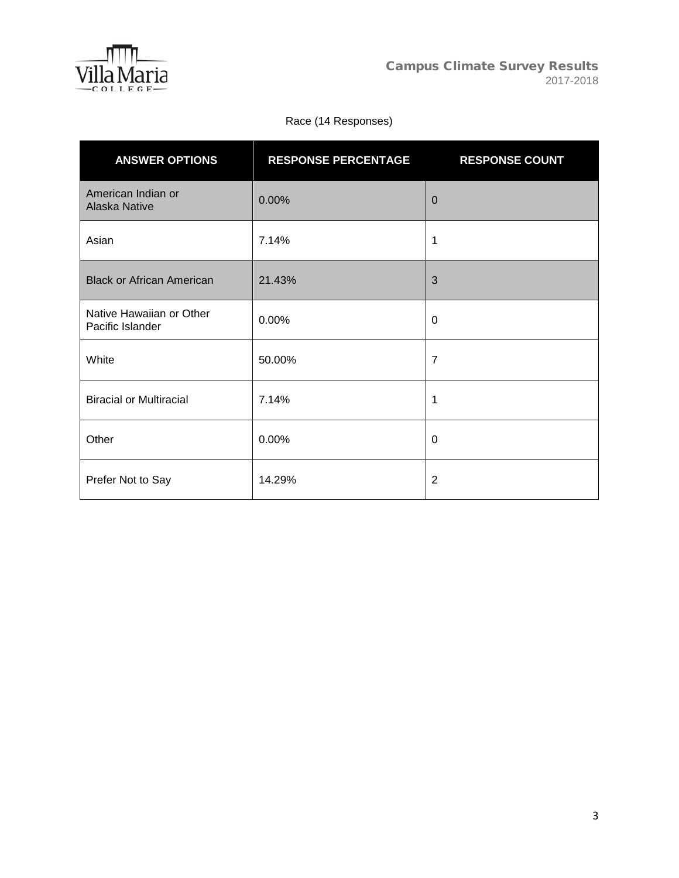

# Race (14 Responses)

| <b>ANSWER OPTIONS</b>                        | <b>RESPONSE PERCENTAGE</b> | <b>RESPONSE COUNT</b> |
|----------------------------------------------|----------------------------|-----------------------|
| American Indian or<br><b>Alaska Native</b>   | 0.00%                      | $\overline{0}$        |
| Asian                                        | 7.14%                      | 1                     |
| <b>Black or African American</b>             | 21.43%                     | 3                     |
| Native Hawaiian or Other<br>Pacific Islander | 0.00%                      | 0                     |
| White                                        | 50.00%                     | $\overline{7}$        |
| <b>Biracial or Multiracial</b>               | 7.14%                      | 1                     |
| Other                                        | 0.00%                      | 0                     |
| Prefer Not to Say                            | 14.29%                     | $\overline{2}$        |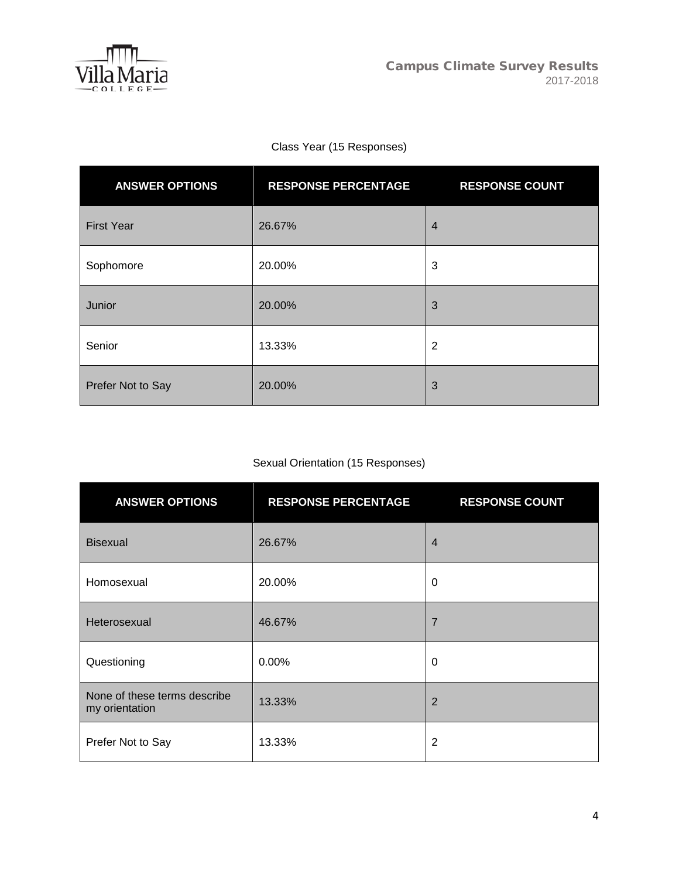

# Class Year (15 Responses)

| <b>ANSWER OPTIONS</b> | <b>RESPONSE PERCENTAGE</b> | <b>RESPONSE COUNT</b> |
|-----------------------|----------------------------|-----------------------|
| <b>First Year</b>     | 26.67%                     | $\overline{4}$        |
| Sophomore             | 20.00%                     | 3                     |
| Junior                | 20.00%                     | 3                     |
| Senior                | 13.33%                     | $\overline{2}$        |
| Prefer Not to Say     | 20.00%                     | 3                     |

# Sexual Orientation (15 Responses)

| <b>ANSWER OPTIONS</b>                          | <b>RESPONSE PERCENTAGE</b> | <b>RESPONSE COUNT</b> |
|------------------------------------------------|----------------------------|-----------------------|
| <b>Bisexual</b>                                | 26.67%                     | $\overline{4}$        |
| Homosexual                                     | 20.00%                     | 0                     |
| Heterosexual                                   | 46.67%                     | $\overline{7}$        |
| Questioning                                    | 0.00%                      | 0                     |
| None of these terms describe<br>my orientation | 13.33%                     | 2                     |
| Prefer Not to Say                              | 13.33%                     | 2                     |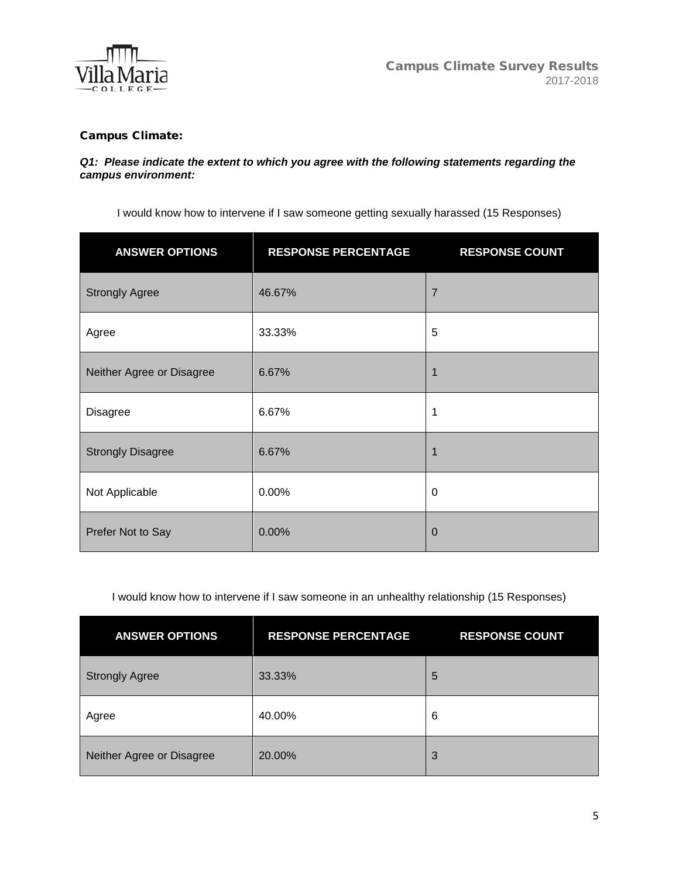

## Campus Climate:

#### *Q1: Please indicate the extent to which you agree with the following statements regarding the campus environment:*

I would know how to intervene if I saw someone getting sexually harassed (15 Responses)

| <b>ANSWER OPTIONS</b>     | <b>RESPONSE PERCENTAGE</b> | <b>RESPONSE COUNT</b> |
|---------------------------|----------------------------|-----------------------|
| <b>Strongly Agree</b>     | 46.67%                     | $\overline{7}$        |
| Agree                     | 33.33%                     | 5                     |
| Neither Agree or Disagree | 6.67%                      | $\mathbf{1}$          |
| <b>Disagree</b>           | 6.67%                      | 1                     |
| <b>Strongly Disagree</b>  | 6.67%                      | 1                     |
| Not Applicable            | 0.00%                      | $\mathbf 0$           |
| Prefer Not to Say         | 0.00%                      | 0                     |

I would know how to intervene if I saw someone in an unhealthy relationship (15 Responses)

| <b>ANSWER OPTIONS</b>     | <b>RESPONSE PERCENTAGE</b> | <b>RESPONSE COUNT</b> |
|---------------------------|----------------------------|-----------------------|
| <b>Strongly Agree</b>     | 33.33%                     | 5                     |
| Agree                     | 40.00%                     | 6                     |
| Neither Agree or Disagree | 20.00%                     | 3                     |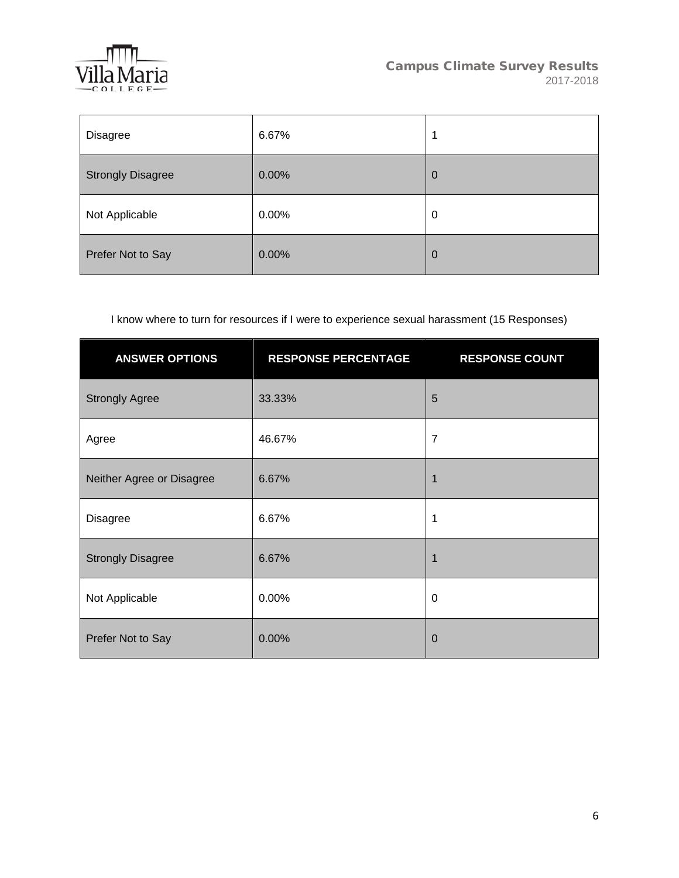

| Disagree                 | 6.67% | 1           |
|--------------------------|-------|-------------|
| <b>Strongly Disagree</b> | 0.00% | $\mathbf 0$ |
| Not Applicable           | 0.00% | 0           |
| Prefer Not to Say        | 0.00% | $\mathbf 0$ |

# I know where to turn for resources if I were to experience sexual harassment (15 Responses)

| <b>ANSWER OPTIONS</b>     | <b>RESPONSE PERCENTAGE</b> | <b>RESPONSE COUNT</b> |
|---------------------------|----------------------------|-----------------------|
| <b>Strongly Agree</b>     | 33.33%                     | 5                     |
| Agree                     | 46.67%                     | $\overline{7}$        |
| Neither Agree or Disagree | 6.67%                      | 1                     |
| <b>Disagree</b>           | 6.67%                      | 1                     |
| <b>Strongly Disagree</b>  | 6.67%                      | 1                     |
| Not Applicable            | 0.00%                      | $\mathbf 0$           |
| Prefer Not to Say         | 0.00%                      | $\mathbf 0$           |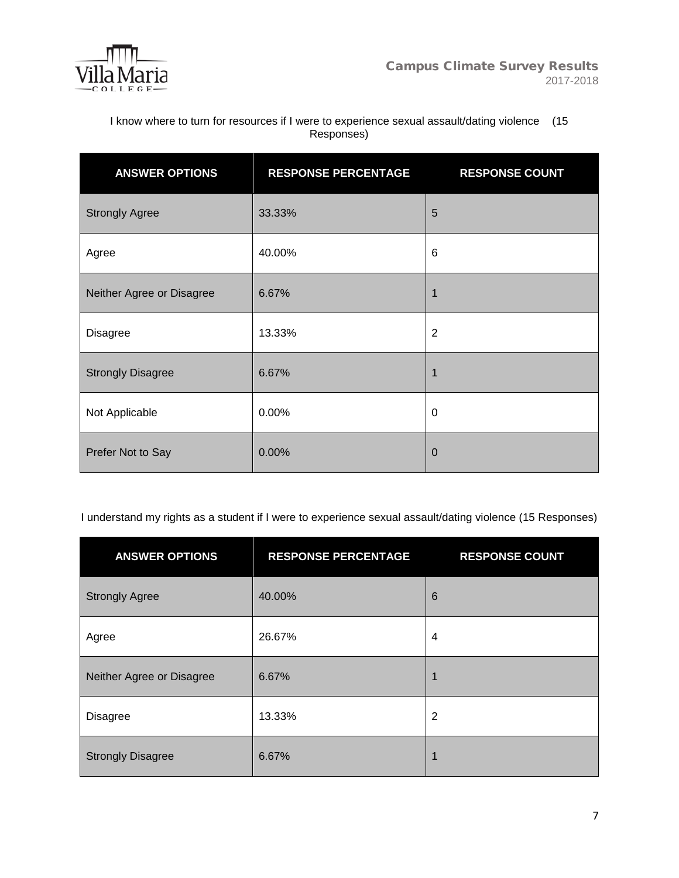

I know where to turn for resources if I were to experience sexual assault/dating violence (15 Responses)

| <b>ANSWER OPTIONS</b>     | <b>RESPONSE PERCENTAGE</b> | <b>RESPONSE COUNT</b> |
|---------------------------|----------------------------|-----------------------|
| <b>Strongly Agree</b>     | 33.33%                     | 5                     |
| Agree                     | 40.00%                     | 6                     |
| Neither Agree or Disagree | 6.67%                      | 1                     |
| <b>Disagree</b>           | 13.33%                     | $\overline{2}$        |
| <b>Strongly Disagree</b>  | 6.67%                      | 1                     |
| Not Applicable            | 0.00%                      | 0                     |
| Prefer Not to Say         | 0.00%                      | $\mathbf 0$           |

I understand my rights as a student if I were to experience sexual assault/dating violence (15 Responses)

| <b>ANSWER OPTIONS</b>     | <b>RESPONSE PERCENTAGE</b> | <b>RESPONSE COUNT</b> |
|---------------------------|----------------------------|-----------------------|
| <b>Strongly Agree</b>     | 40.00%                     | $6\phantom{1}6$       |
| Agree                     | 26.67%                     | 4                     |
| Neither Agree or Disagree | 6.67%                      |                       |
| <b>Disagree</b>           | 13.33%                     | $\overline{2}$        |
| <b>Strongly Disagree</b>  | 6.67%                      | 1                     |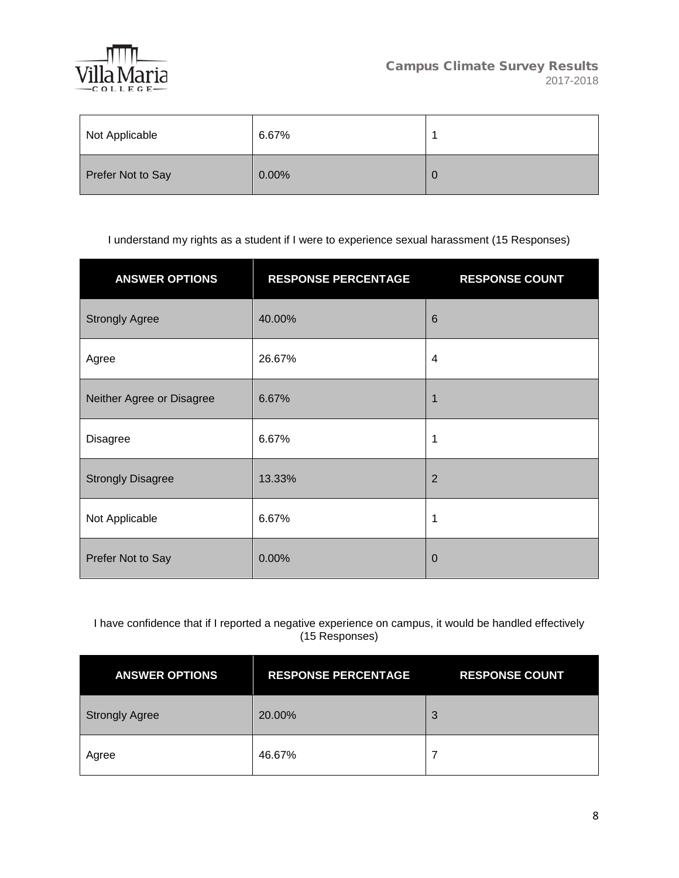

| Not Applicable    | 6.67% |   |
|-------------------|-------|---|
| Prefer Not to Say | 0.00% | v |

I understand my rights as a student if I were to experience sexual harassment (15 Responses)

| <b>ANSWER OPTIONS</b>     | <b>RESPONSE PERCENTAGE</b> | <b>RESPONSE COUNT</b> |
|---------------------------|----------------------------|-----------------------|
| <b>Strongly Agree</b>     | 40.00%                     | $6\phantom{1}6$       |
| Agree                     | 26.67%                     | $\overline{4}$        |
| Neither Agree or Disagree | 6.67%                      |                       |
| <b>Disagree</b>           | 6.67%                      | 1                     |
| <b>Strongly Disagree</b>  | 13.33%                     | $\overline{2}$        |
| Not Applicable            | 6.67%                      | 1                     |
| Prefer Not to Say         | 0.00%                      | $\Omega$              |

I have confidence that if I reported a negative experience on campus, it would be handled effectively (15 Responses)

| <b>ANSWER OPTIONS</b> | <b>RESPONSE PERCENTAGE</b> | <b>RESPONSE COUNT</b> |
|-----------------------|----------------------------|-----------------------|
| <b>Strongly Agree</b> | 20.00%                     | 3                     |
| Agree                 | 46.67%                     |                       |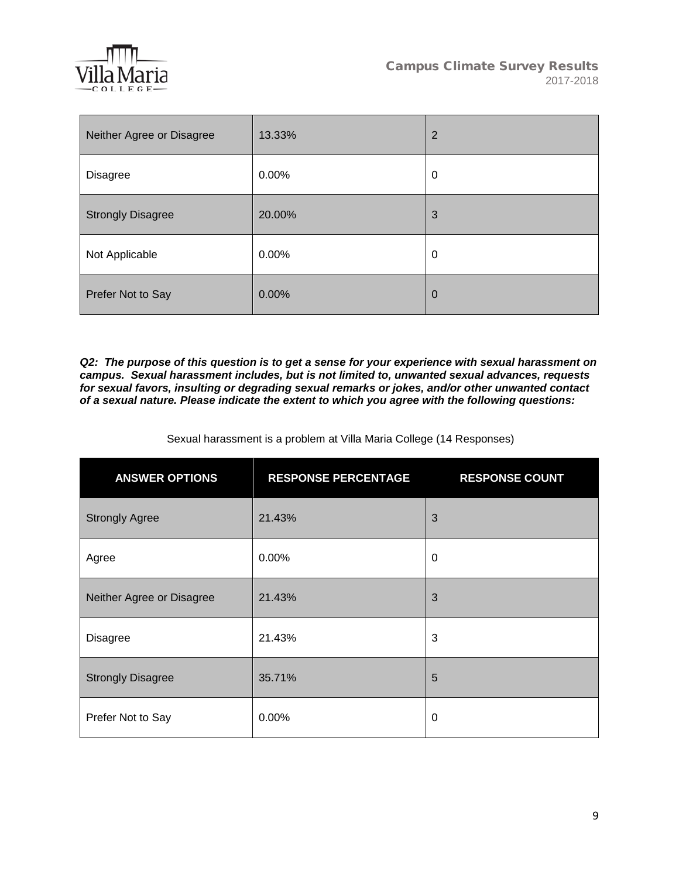

| Neither Agree or Disagree | 13.33% | $\overline{2}$ |
|---------------------------|--------|----------------|
| <b>Disagree</b>           | 0.00%  | 0              |
| <b>Strongly Disagree</b>  | 20.00% | 3              |
| Not Applicable            | 0.00%  | 0              |
| Prefer Not to Say         | 0.00%  | $\overline{0}$ |

*Q2: The purpose of this question is to get a sense for your experience with sexual harassment on campus. Sexual harassment includes, but is not limited to, unwanted sexual advances, requests for sexual favors, insulting or degrading sexual remarks or jokes, and/or other unwanted contact of a sexual nature. Please indicate the extent to which you agree with the following questions:*

Sexual harassment is a problem at Villa Maria College (14 Responses)

| <b>ANSWER OPTIONS</b>     | <b>RESPONSE PERCENTAGE</b> | <b>RESPONSE COUNT</b> |
|---------------------------|----------------------------|-----------------------|
| <b>Strongly Agree</b>     | 21.43%                     | 3                     |
| Agree                     | 0.00%                      | 0                     |
| Neither Agree or Disagree | 21.43%                     | 3                     |
| <b>Disagree</b>           | 21.43%                     | 3                     |
| <b>Strongly Disagree</b>  | 35.71%                     | 5                     |
| Prefer Not to Say         | 0.00%                      | 0                     |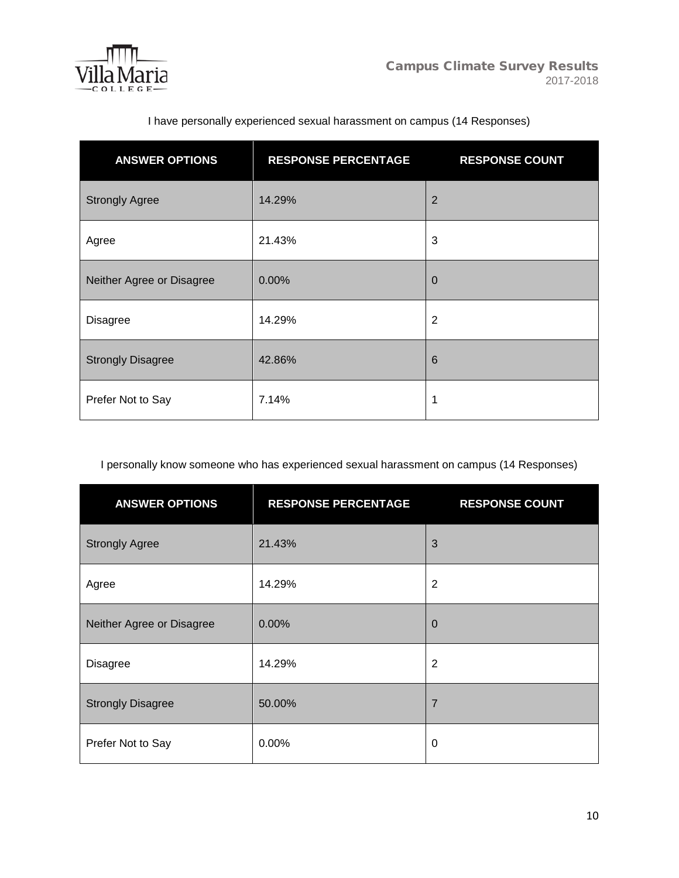

| <b>ANSWER OPTIONS</b>     | <b>RESPONSE PERCENTAGE</b> | <b>RESPONSE COUNT</b> |
|---------------------------|----------------------------|-----------------------|
| <b>Strongly Agree</b>     | 14.29%                     | $\overline{2}$        |
| Agree                     | 21.43%                     | 3                     |
| Neither Agree or Disagree | 0.00%                      | $\Omega$              |
| <b>Disagree</b>           | 14.29%                     | $\overline{2}$        |
| <b>Strongly Disagree</b>  | 42.86%                     | $6\phantom{1}6$       |
| Prefer Not to Say         | 7.14%                      | 1                     |

# I have personally experienced sexual harassment on campus (14 Responses)

I personally know someone who has experienced sexual harassment on campus (14 Responses)

| <b>ANSWER OPTIONS</b>     | <b>RESPONSE PERCENTAGE</b> | <b>RESPONSE COUNT</b> |
|---------------------------|----------------------------|-----------------------|
| <b>Strongly Agree</b>     | 21.43%                     | 3                     |
| Agree                     | 14.29%                     | $\overline{2}$        |
| Neither Agree or Disagree | 0.00%                      | $\mathbf 0$           |
| <b>Disagree</b>           | 14.29%                     | $\overline{2}$        |
| <b>Strongly Disagree</b>  | 50.00%                     | 7                     |
| Prefer Not to Say         | 0.00%                      | 0                     |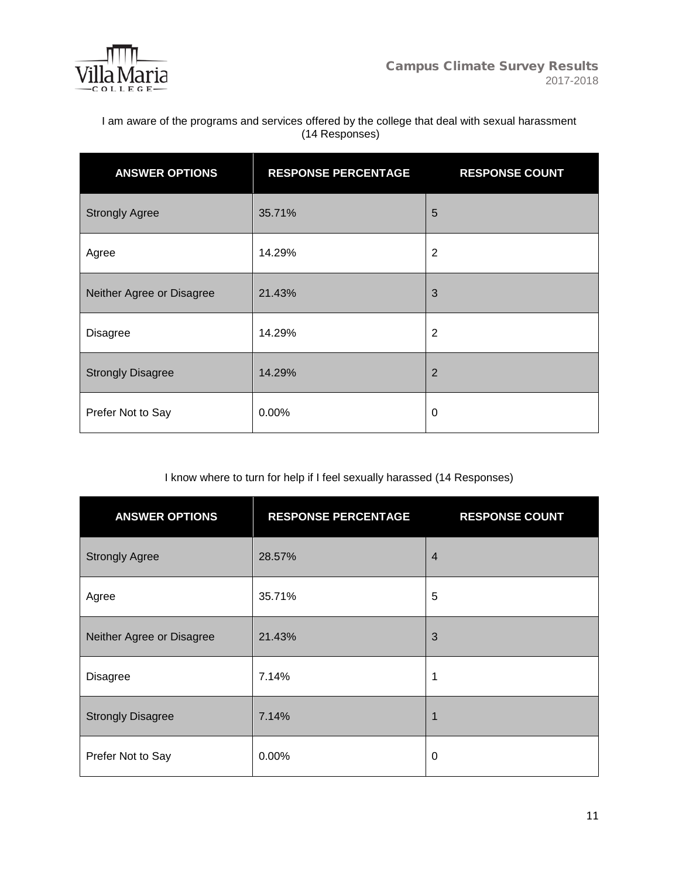

I am aware of the programs and services offered by the college that deal with sexual harassment (14 Responses)

| <b>ANSWER OPTIONS</b>     | <b>RESPONSE PERCENTAGE</b> | <b>RESPONSE COUNT</b> |
|---------------------------|----------------------------|-----------------------|
| <b>Strongly Agree</b>     | 35.71%                     | 5                     |
| Agree                     | 14.29%                     | $\overline{2}$        |
| Neither Agree or Disagree | 21.43%                     | 3                     |
| <b>Disagree</b>           | 14.29%                     | $\overline{2}$        |
| <b>Strongly Disagree</b>  | 14.29%                     | $\overline{2}$        |
| Prefer Not to Say         | 0.00%                      | $\mathbf 0$           |

# I know where to turn for help if I feel sexually harassed (14 Responses)

| <b>ANSWER OPTIONS</b>     | <b>RESPONSE PERCENTAGE</b> | <b>RESPONSE COUNT</b> |
|---------------------------|----------------------------|-----------------------|
| <b>Strongly Agree</b>     | 28.57%                     | $\overline{4}$        |
| Agree                     | 35.71%                     | 5                     |
| Neither Agree or Disagree | 21.43%                     | 3                     |
| <b>Disagree</b>           | 7.14%                      | 1                     |
| <b>Strongly Disagree</b>  | 7.14%                      | 1                     |
| Prefer Not to Say         | 0.00%                      | $\mathbf 0$           |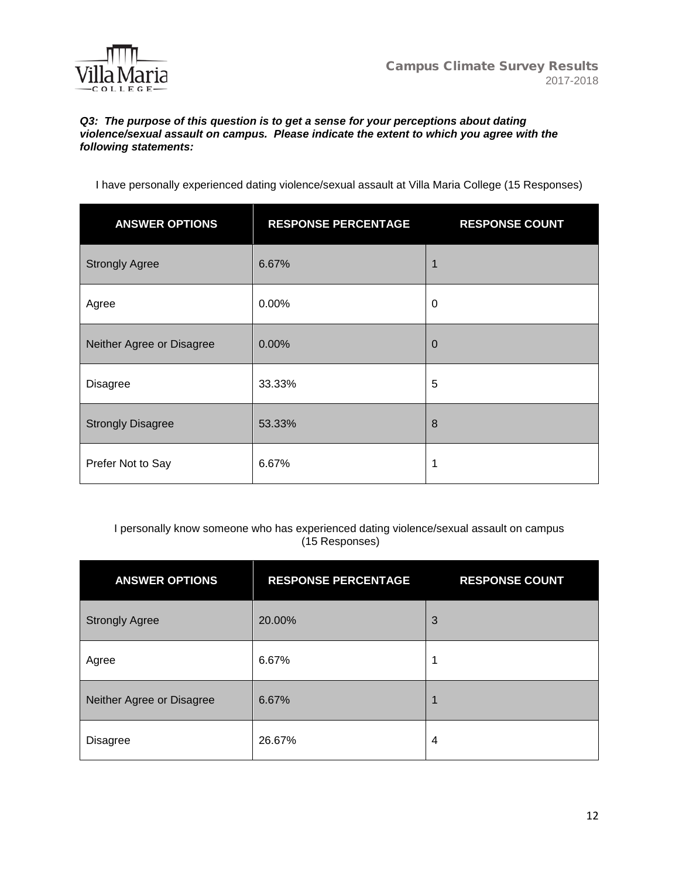

### *Q3: The purpose of this question is to get a sense for your perceptions about dating violence/sexual assault on campus. Please indicate the extent to which you agree with the following statements:*

I have personally experienced dating violence/sexual assault at Villa Maria College (15 Responses)

| <b>ANSWER OPTIONS</b>     | <b>RESPONSE PERCENTAGE</b> | <b>RESPONSE COUNT</b> |
|---------------------------|----------------------------|-----------------------|
| <b>Strongly Agree</b>     | 6.67%                      | 1                     |
| Agree                     | 0.00%                      | 0                     |
| Neither Agree or Disagree | 0.00%                      | $\Omega$              |
| <b>Disagree</b>           | 33.33%                     | 5                     |
| <b>Strongly Disagree</b>  | 53.33%                     | 8                     |
| Prefer Not to Say         | 6.67%                      | 1                     |

## I personally know someone who has experienced dating violence/sexual assault on campus (15 Responses)

| <b>ANSWER OPTIONS</b>     | <b>RESPONSE PERCENTAGE</b> | <b>RESPONSE COUNT</b> |
|---------------------------|----------------------------|-----------------------|
| <b>Strongly Agree</b>     | 20.00%                     | 3                     |
| Agree                     | 6.67%                      | 1                     |
| Neither Agree or Disagree | 6.67%                      | 1                     |
| <b>Disagree</b>           | 26.67%                     | $\overline{4}$        |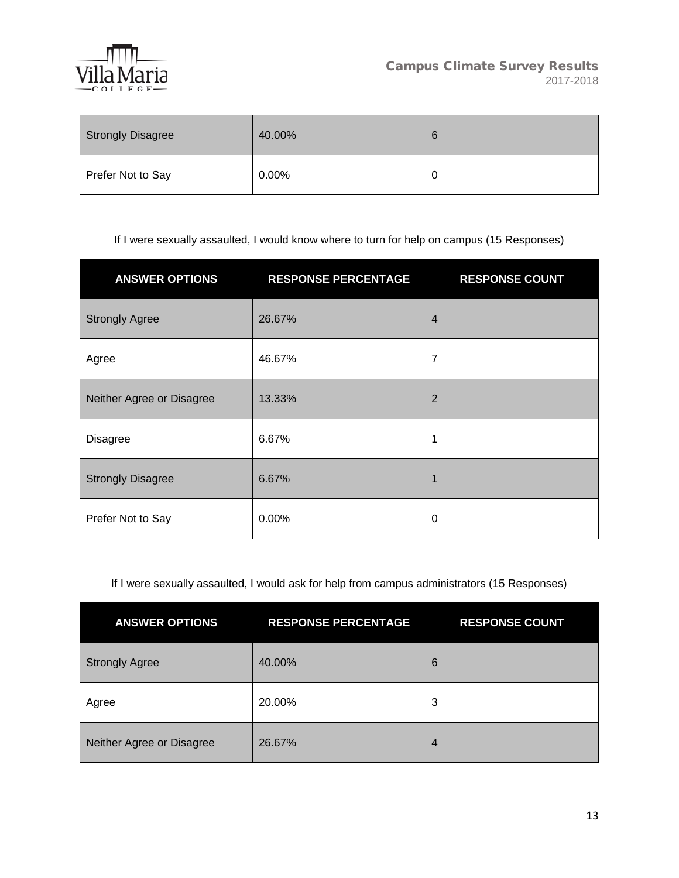

| <b>Strongly Disagree</b> | 40.00%   | 6 |
|--------------------------|----------|---|
| Prefer Not to Say        | $0.00\%$ | ◡ |

If I were sexually assaulted, I would know where to turn for help on campus (15 Responses)

| <b>ANSWER OPTIONS</b>     | <b>RESPONSE PERCENTAGE</b> | <b>RESPONSE COUNT</b> |
|---------------------------|----------------------------|-----------------------|
| <b>Strongly Agree</b>     | 26.67%                     | $\overline{4}$        |
| Agree                     | 46.67%                     | $\overline{7}$        |
| Neither Agree or Disagree | 13.33%                     | $\overline{2}$        |
| Disagree                  | 6.67%                      | 1                     |
| <b>Strongly Disagree</b>  | 6.67%                      |                       |
| Prefer Not to Say         | 0.00%                      | 0                     |

If I were sexually assaulted, I would ask for help from campus administrators (15 Responses)

| <b>ANSWER OPTIONS</b>     | <b>RESPONSE PERCENTAGE</b> | <b>RESPONSE COUNT</b> |
|---------------------------|----------------------------|-----------------------|
| <b>Strongly Agree</b>     | 40.00%                     | 6                     |
| Agree                     | 20.00%                     | 3                     |
| Neither Agree or Disagree | 26.67%                     | $\overline{4}$        |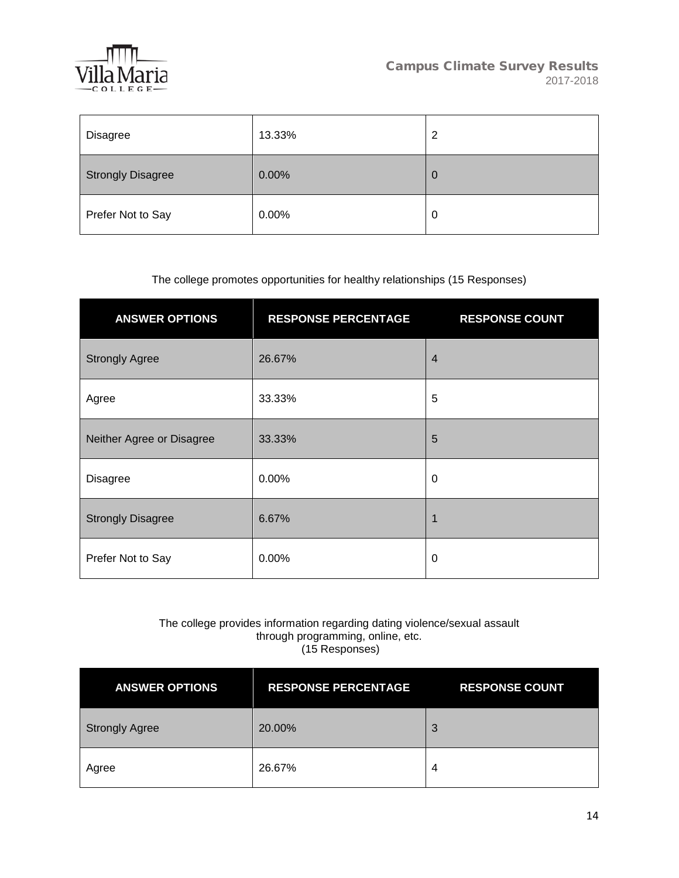

| Disagree                 | 13.33% | 2 |
|--------------------------|--------|---|
| <b>Strongly Disagree</b> | 0.00%  | 0 |
| Prefer Not to Say        | 0.00%  | 0 |

## The college promotes opportunities for healthy relationships (15 Responses)

| <b>ANSWER OPTIONS</b>     | <b>RESPONSE PERCENTAGE</b> | <b>RESPONSE COUNT</b> |
|---------------------------|----------------------------|-----------------------|
| <b>Strongly Agree</b>     | 26.67%                     | $\overline{4}$        |
| Agree                     | 33.33%                     | 5                     |
| Neither Agree or Disagree | 33.33%                     | 5                     |
| <b>Disagree</b>           | $0.00\%$                   | 0                     |
| <b>Strongly Disagree</b>  | 6.67%                      | 1                     |
| Prefer Not to Say         | 0.00%                      | 0                     |

### The college provides information regarding dating violence/sexual assault through programming, online, etc. (15 Responses)

| <b>ANSWER OPTIONS</b> | <b>RESPONSE PERCENTAGE</b> | <b>RESPONSE COUNT</b> |
|-----------------------|----------------------------|-----------------------|
| <b>Strongly Agree</b> | 20.00%                     | 3                     |
| Agree                 | 26.67%                     | 4                     |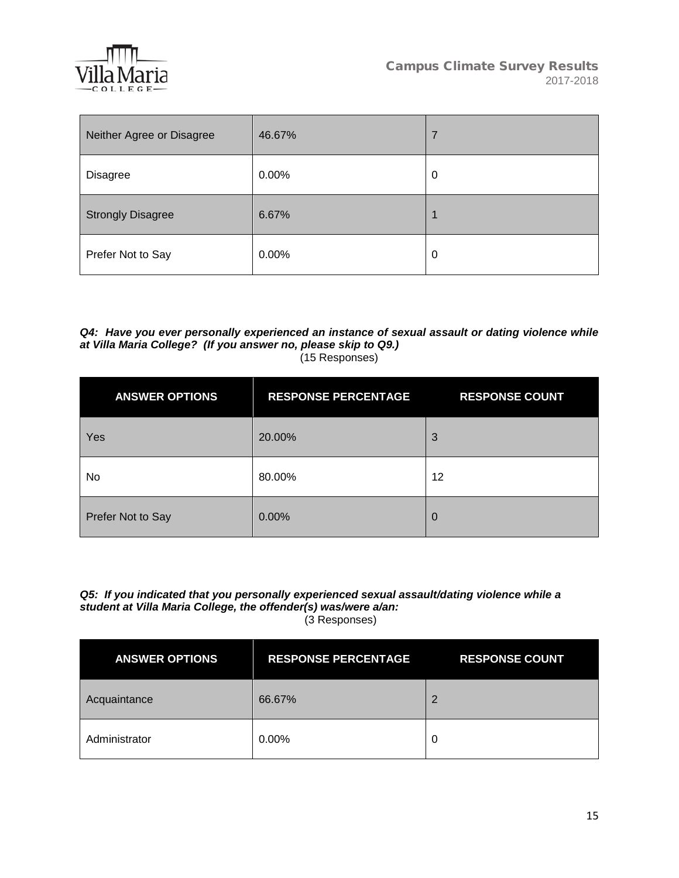

| Neither Agree or Disagree | 46.67% | 7 |
|---------------------------|--------|---|
| Disagree                  | 0.00%  | 0 |
| <b>Strongly Disagree</b>  | 6.67%  |   |
| Prefer Not to Say         | 0.00%  | 0 |

#### *Q4: Have you ever personally experienced an instance of sexual assault or dating violence while at Villa Maria College? (If you answer no, please skip to Q9.)*  (15 Responses)

| <b>ANSWER OPTIONS</b> | <b>RESPONSE PERCENTAGE</b> | <b>RESPONSE COUNT</b> |
|-----------------------|----------------------------|-----------------------|
| Yes                   | 20.00%                     | 3                     |
| No                    | 80.00%                     | 12                    |
| Prefer Not to Say     | 0.00%                      | $\Omega$              |

#### *Q5: If you indicated that you personally experienced sexual assault/dating violence while a student at Villa Maria College, the offender(s) was/were a/an:* (3 Responses)

| <b>ANSWER OPTIONS</b> | <b>RESPONSE PERCENTAGE</b> | <b>RESPONSE COUNT</b> |
|-----------------------|----------------------------|-----------------------|
| Acquaintance          | 66.67%                     | 2                     |
| Administrator         | 0.00%                      | O                     |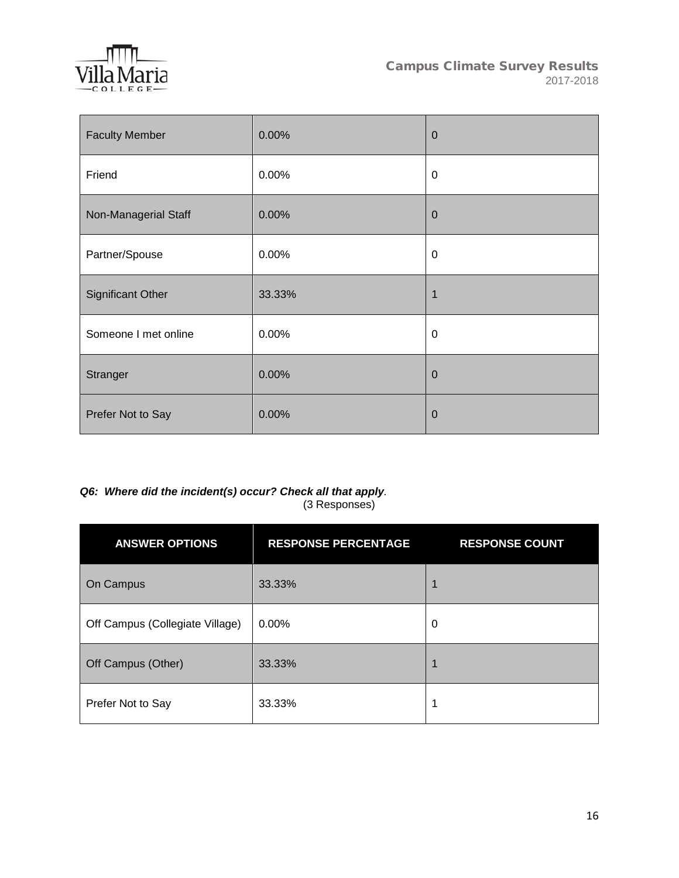

| <b>Faculty Member</b>    | 0.00%  | $\mathbf 0$    |
|--------------------------|--------|----------------|
| Friend                   | 0.00%  | $\mathbf 0$    |
| Non-Managerial Staff     | 0.00%  | $\overline{0}$ |
| Partner/Spouse           | 0.00%  | $\mathbf 0$    |
| <b>Significant Other</b> | 33.33% | 1              |
| Someone I met online     | 0.00%  | 0              |
| Stranger                 | 0.00%  | $\overline{0}$ |
| Prefer Not to Say        | 0.00%  | $\overline{0}$ |

### *Q6: Where did the incident(s) occur? Check all that apply.*  (3 Responses)

| <b>ANSWER OPTIONS</b>           | <b>RESPONSE PERCENTAGE</b> | <b>RESPONSE COUNT</b> |
|---------------------------------|----------------------------|-----------------------|
| On Campus                       | 33.33%                     |                       |
| Off Campus (Collegiate Village) | 0.00%                      | 0                     |
| Off Campus (Other)              | 33.33%                     |                       |
| Prefer Not to Say               | 33.33%                     | 1                     |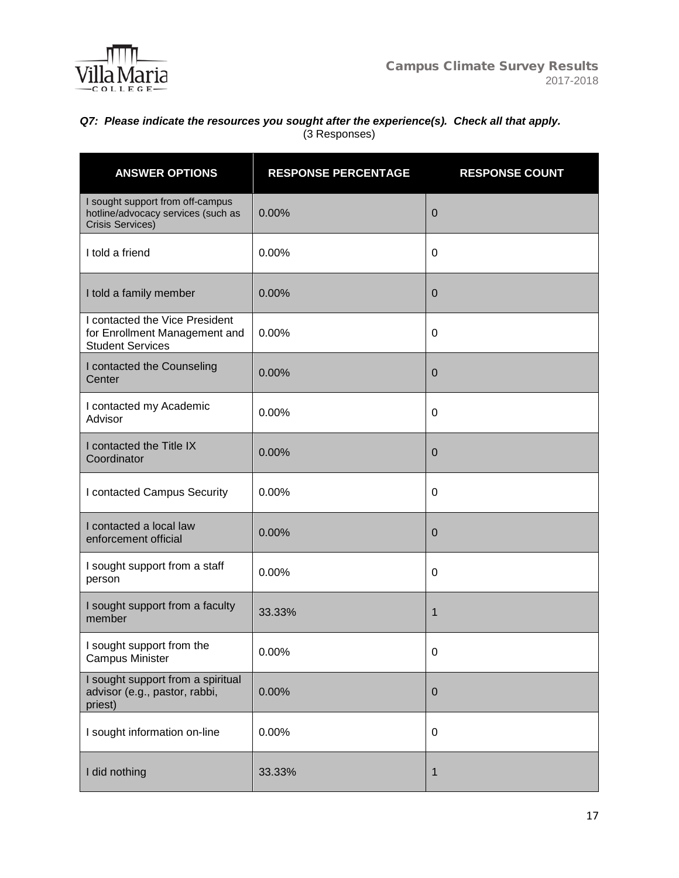

## *Q7: Please indicate the resources you sought after the experience(s). Check all that apply.* (3 Responses)

| <b>ANSWER OPTIONS</b>                                                                             | <b>RESPONSE PERCENTAGE</b> | <b>RESPONSE COUNT</b> |
|---------------------------------------------------------------------------------------------------|----------------------------|-----------------------|
| I sought support from off-campus<br>hotline/advocacy services (such as<br><b>Crisis Services)</b> | 0.00%                      | 0                     |
| I told a friend                                                                                   | 0.00%                      | 0                     |
| I told a family member                                                                            | 0.00%                      | 0                     |
| I contacted the Vice President<br>for Enrollment Management and<br><b>Student Services</b>        | 0.00%                      | 0                     |
| I contacted the Counseling<br>Center                                                              | 0.00%                      | 0                     |
| I contacted my Academic<br>Advisor                                                                | 0.00%                      | 0                     |
| I contacted the Title IX<br>Coordinator                                                           | 0.00%                      | 0                     |
| I contacted Campus Security                                                                       | 0.00%                      | 0                     |
| I contacted a local law<br>enforcement official                                                   | 0.00%                      | 0                     |
| I sought support from a staff<br>person                                                           | 0.00%                      | 0                     |
| I sought support from a faculty<br>member                                                         | 33.33%                     | 1                     |
| I sought support from the<br><b>Campus Minister</b>                                               | 0.00%                      | 0                     |
| I sought support from a spiritual<br>advisor (e.g., pastor, rabbi,<br>priest)                     | 0.00%                      | $\pmb{0}$             |
| I sought information on-line                                                                      | 0.00%                      | $\pmb{0}$             |
| I did nothing                                                                                     | 33.33%                     | 1                     |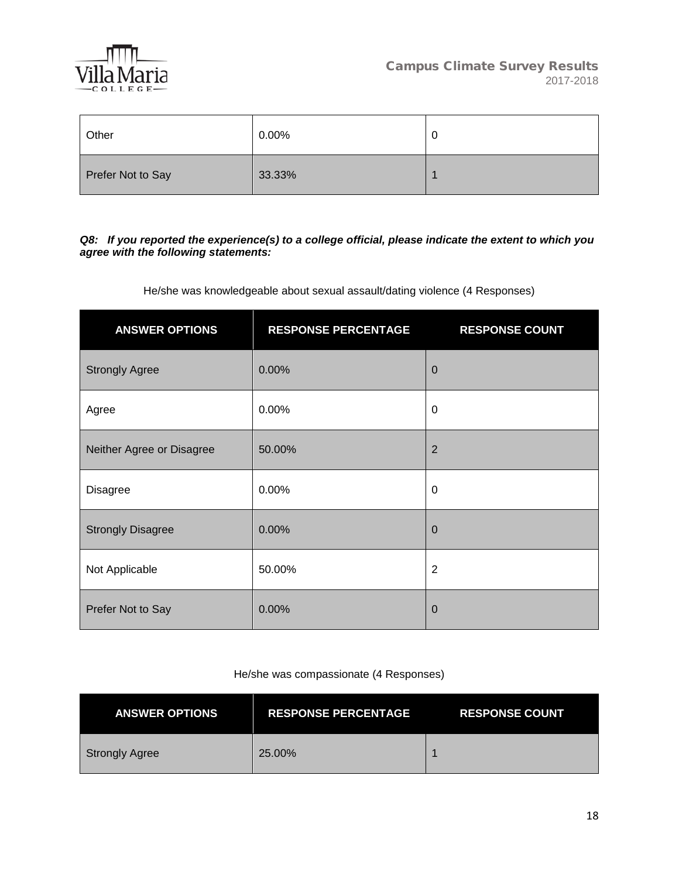

| Other             | 0.00%  | 0 |
|-------------------|--------|---|
| Prefer Not to Say | 33.33% |   |

### *Q8: If you reported the experience(s) to a college official, please indicate the extent to which you agree with the following statements:*

He/she was knowledgeable about sexual assault/dating violence (4 Responses)

| <b>ANSWER OPTIONS</b>     | <b>RESPONSE PERCENTAGE</b> | <b>RESPONSE COUNT</b> |
|---------------------------|----------------------------|-----------------------|
| <b>Strongly Agree</b>     | 0.00%                      | $\mathbf 0$           |
| Agree                     | 0.00%                      | 0                     |
| Neither Agree or Disagree | 50.00%                     | $\overline{2}$        |
| <b>Disagree</b>           | 0.00%                      | 0                     |
| <b>Strongly Disagree</b>  | 0.00%                      | $\mathbf 0$           |
| Not Applicable            | 50.00%                     | $\overline{2}$        |
| Prefer Not to Say         | 0.00%                      | $\overline{0}$        |

### He/she was compassionate (4 Responses)

| <b>ANSWER OPTIONS</b> | <b>RESPONSE PERCENTAGE</b> | <b>RESPONSE COUNT</b> |
|-----------------------|----------------------------|-----------------------|
| <b>Strongly Agree</b> | 25.00%                     |                       |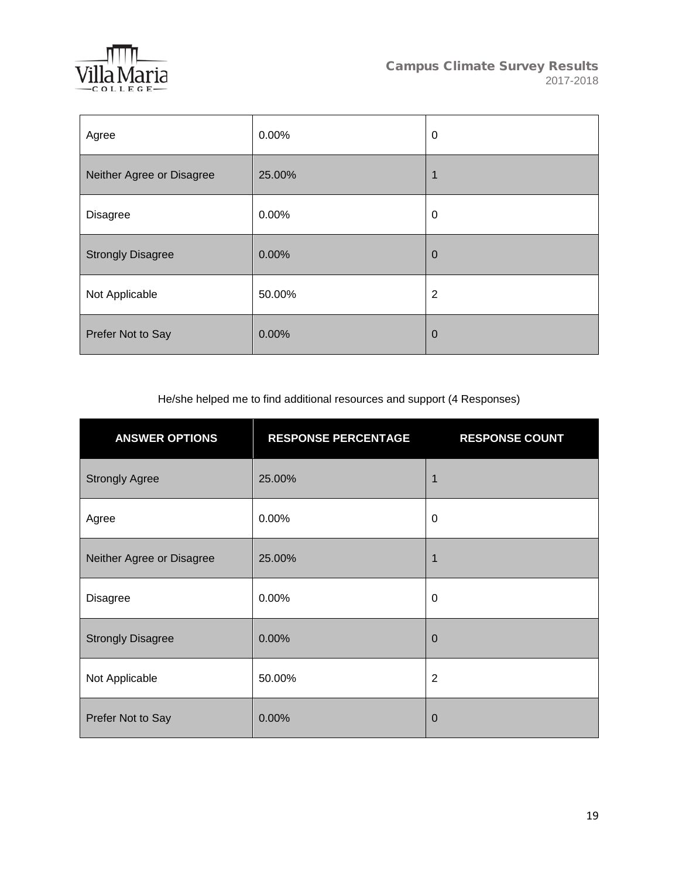

| Agree                     | 0.00%  | $\pmb{0}$      |
|---------------------------|--------|----------------|
| Neither Agree or Disagree | 25.00% | 1              |
| Disagree                  | 0.00%  | $\pmb{0}$      |
| <b>Strongly Disagree</b>  | 0.00%  | $\mathbf 0$    |
| Not Applicable            | 50.00% | 2              |
| Prefer Not to Say         | 0.00%  | $\overline{0}$ |

He/she helped me to find additional resources and support (4 Responses)

| <b>ANSWER OPTIONS</b>     | <b>RESPONSE PERCENTAGE</b> | <b>RESPONSE COUNT</b> |
|---------------------------|----------------------------|-----------------------|
| <b>Strongly Agree</b>     | 25.00%                     | 1                     |
| Agree                     | 0.00%                      | 0                     |
| Neither Agree or Disagree | 25.00%                     | 1                     |
| <b>Disagree</b>           | 0.00%                      | 0                     |
| <b>Strongly Disagree</b>  | 0.00%                      | $\overline{0}$        |
| Not Applicable            | 50.00%                     | $\overline{2}$        |
| Prefer Not to Say         | 0.00%                      | $\mathbf 0$           |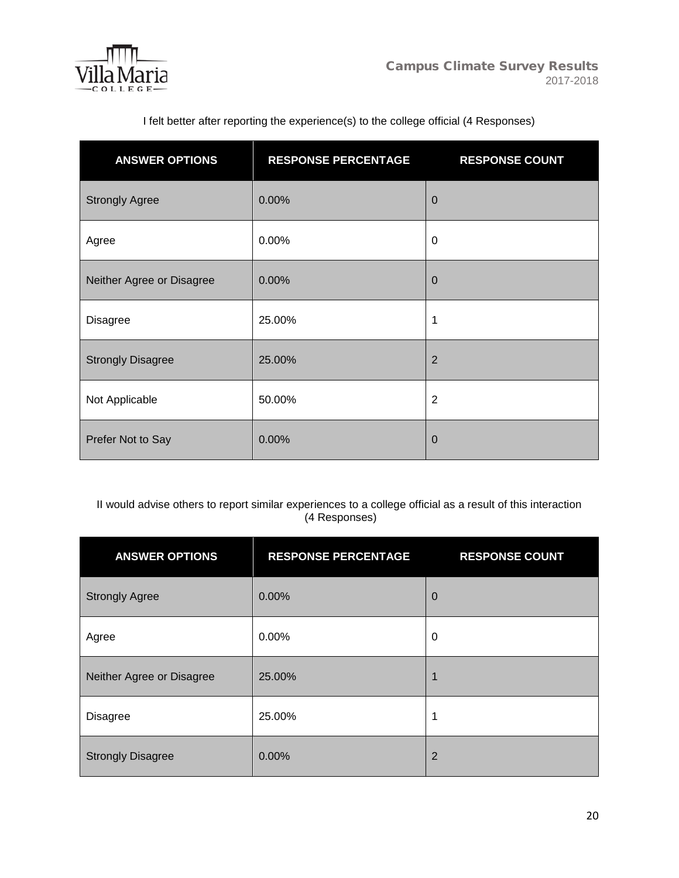

| <b>ANSWER OPTIONS</b>     | <b>RESPONSE PERCENTAGE</b> | <b>RESPONSE COUNT</b> |
|---------------------------|----------------------------|-----------------------|
| <b>Strongly Agree</b>     | 0.00%                      | $\overline{0}$        |
| Agree                     | 0.00%                      | 0                     |
| Neither Agree or Disagree | 0.00%                      | $\mathbf 0$           |
| <b>Disagree</b>           | 25.00%                     | 1                     |
| <b>Strongly Disagree</b>  | 25.00%                     | $\overline{2}$        |
| Not Applicable            | 50.00%                     | $\overline{2}$        |
| Prefer Not to Say         | 0.00%                      | $\Omega$              |

I felt better after reporting the experience(s) to the college official (4 Responses)

II would advise others to report similar experiences to a college official as a result of this interaction (4 Responses)

| <b>ANSWER OPTIONS</b>     | <b>RESPONSE PERCENTAGE</b> | <b>RESPONSE COUNT</b> |
|---------------------------|----------------------------|-----------------------|
| <b>Strongly Agree</b>     | 0.00%                      | $\overline{0}$        |
| Agree                     | $0.00\%$                   | 0                     |
| Neither Agree or Disagree | 25.00%                     |                       |
| <b>Disagree</b>           | 25.00%                     | 1                     |
| <b>Strongly Disagree</b>  | 0.00%                      | $\overline{2}$        |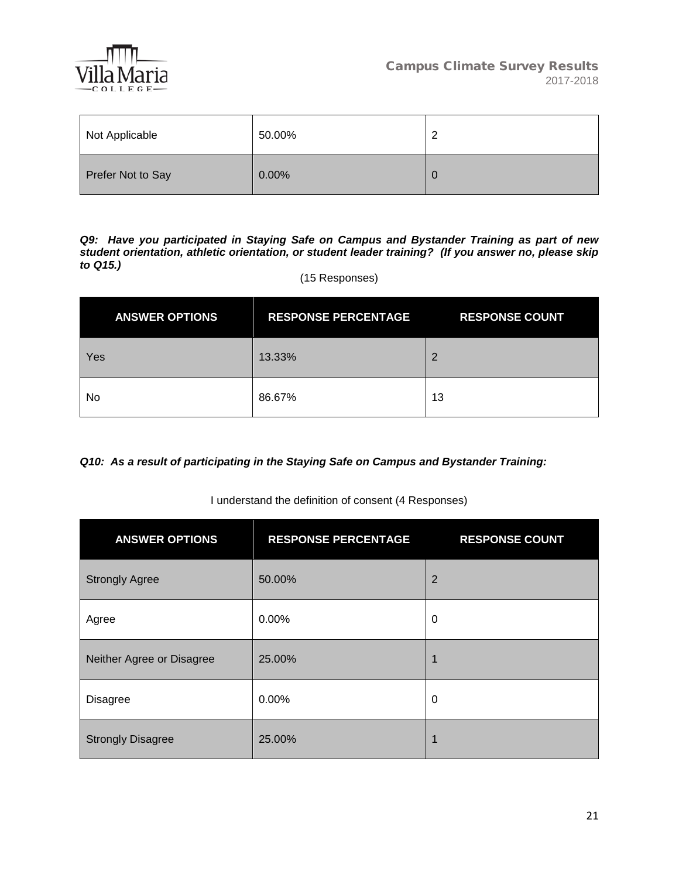

| Not Applicable    | 50.00%   | ີ |
|-------------------|----------|---|
| Prefer Not to Say | $0.00\%$ | O |

*Q9: Have you participated in Staying Safe on Campus and Bystander Training as part of new student orientation, athletic orientation, or student leader training? (If you answer no, please skip to Q15.)*

### (15 Responses)

| <b>ANSWER OPTIONS</b> | <b>RESPONSE PERCENTAGE</b> | <b>RESPONSE COUNT</b> |
|-----------------------|----------------------------|-----------------------|
| Yes                   | 13.33%                     |                       |
| No                    | 86.67%                     | 13                    |

*Q10: As a result of participating in the Staying Safe on Campus and Bystander Training:*

### I understand the definition of consent (4 Responses)

| <b>ANSWER OPTIONS</b>     | <b>RESPONSE PERCENTAGE</b> | <b>RESPONSE COUNT</b> |
|---------------------------|----------------------------|-----------------------|
| <b>Strongly Agree</b>     | 50.00%                     | $\overline{2}$        |
| Agree                     | 0.00%                      | 0                     |
| Neither Agree or Disagree | 25.00%                     | 1                     |
| <b>Disagree</b>           | $0.00\%$                   | 0                     |
| <b>Strongly Disagree</b>  | 25.00%                     | 1                     |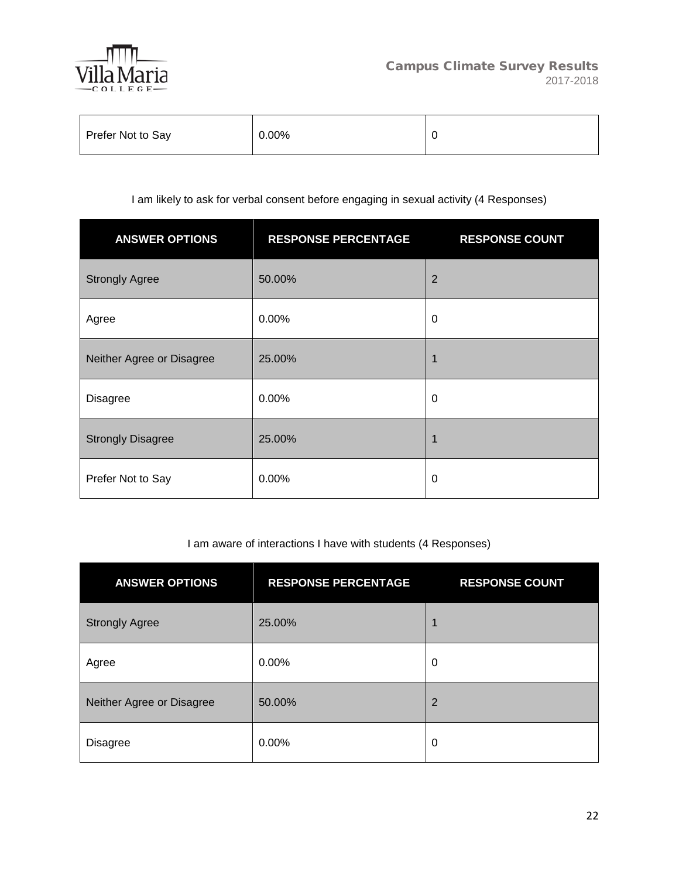

| Prefer Not to Say | 0.00% |  |
|-------------------|-------|--|
|-------------------|-------|--|

# I am likely to ask for verbal consent before engaging in sexual activity (4 Responses)

| <b>ANSWER OPTIONS</b>     | <b>RESPONSE PERCENTAGE</b> | <b>RESPONSE COUNT</b> |
|---------------------------|----------------------------|-----------------------|
| <b>Strongly Agree</b>     | 50.00%                     | $\overline{2}$        |
| Agree                     | 0.00%                      | 0                     |
| Neither Agree or Disagree | 25.00%                     | 1                     |
| <b>Disagree</b>           | 0.00%                      | 0                     |
| <b>Strongly Disagree</b>  | 25.00%                     | 1                     |
| Prefer Not to Say         | 0.00%                      | 0                     |

## I am aware of interactions I have with students (4 Responses)

| <b>ANSWER OPTIONS</b>     | <b>RESPONSE PERCENTAGE</b> | <b>RESPONSE COUNT</b> |
|---------------------------|----------------------------|-----------------------|
| <b>Strongly Agree</b>     | 25.00%                     |                       |
| Agree                     | 0.00%                      | 0                     |
| Neither Agree or Disagree | 50.00%                     | 2                     |
| Disagree                  | 0.00%                      | 0                     |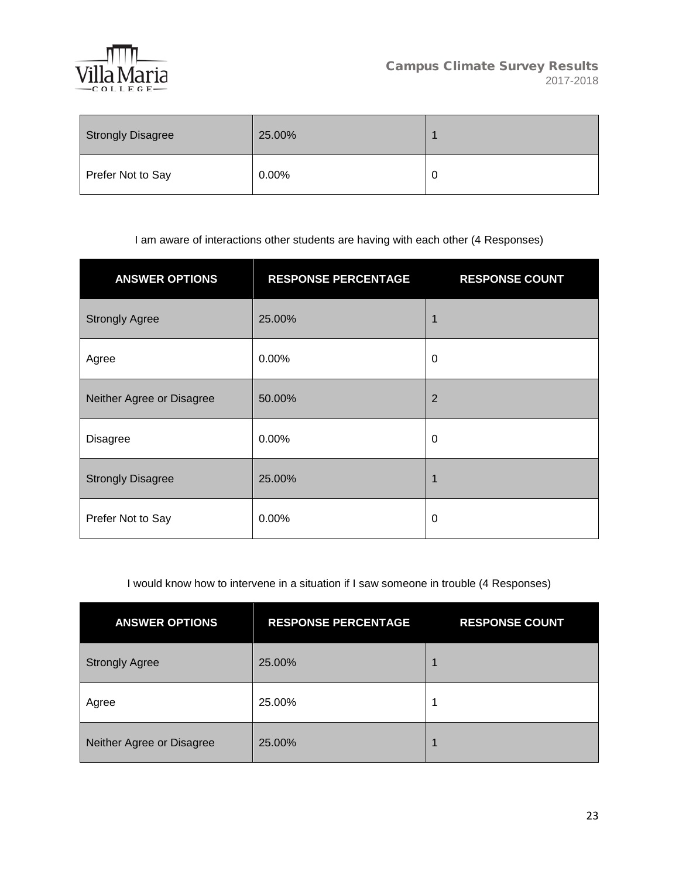

| Strongly Disagree | 25.00%   |   |
|-------------------|----------|---|
| Prefer Not to Say | $0.00\%$ | u |

# I am aware of interactions other students are having with each other (4 Responses)

| <b>ANSWER OPTIONS</b>     | <b>RESPONSE PERCENTAGE</b> | <b>RESPONSE COUNT</b> |
|---------------------------|----------------------------|-----------------------|
| <b>Strongly Agree</b>     | 25.00%                     | 1                     |
| Agree                     | 0.00%                      | 0                     |
| Neither Agree or Disagree | 50.00%                     | 2                     |
| <b>Disagree</b>           | 0.00%                      | 0                     |
| <b>Strongly Disagree</b>  | 25.00%                     | 1                     |
| Prefer Not to Say         | 0.00%                      | 0                     |

I would know how to intervene in a situation if I saw someone in trouble (4 Responses)

| <b>ANSWER OPTIONS</b>     | <b>RESPONSE PERCENTAGE</b> | <b>RESPONSE COUNT</b> |
|---------------------------|----------------------------|-----------------------|
| <b>Strongly Agree</b>     | 25.00%                     |                       |
| Agree                     | 25.00%                     | и                     |
| Neither Agree or Disagree | 25.00%                     |                       |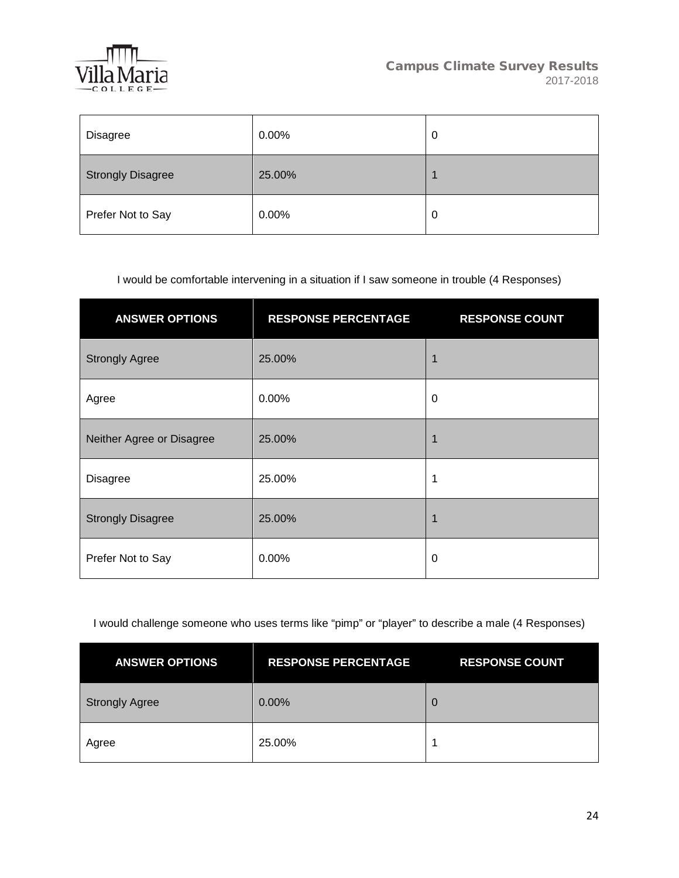

| Disagree                 | 0.00%  | 0 |
|--------------------------|--------|---|
| <b>Strongly Disagree</b> | 25.00% |   |
| Prefer Not to Say        | 0.00%  | 0 |

## I would be comfortable intervening in a situation if I saw someone in trouble (4 Responses)

| <b>ANSWER OPTIONS</b>     | <b>RESPONSE PERCENTAGE</b> | <b>RESPONSE COUNT</b> |
|---------------------------|----------------------------|-----------------------|
| <b>Strongly Agree</b>     | 25.00%                     |                       |
| Agree                     | 0.00%                      | 0                     |
| Neither Agree or Disagree | 25.00%                     |                       |
| <b>Disagree</b>           | 25.00%                     | 1                     |
| <b>Strongly Disagree</b>  | 25.00%                     |                       |
| Prefer Not to Say         | 0.00%                      | 0                     |

# I would challenge someone who uses terms like "pimp" or "player" to describe a male (4 Responses)

| <b>ANSWER OPTIONS</b> | <b>RESPONSE PERCENTAGE</b> | <b>RESPONSE COUNT</b> |
|-----------------------|----------------------------|-----------------------|
| <b>Strongly Agree</b> | 0.00%                      | 0                     |
| Agree                 | 25.00%                     |                       |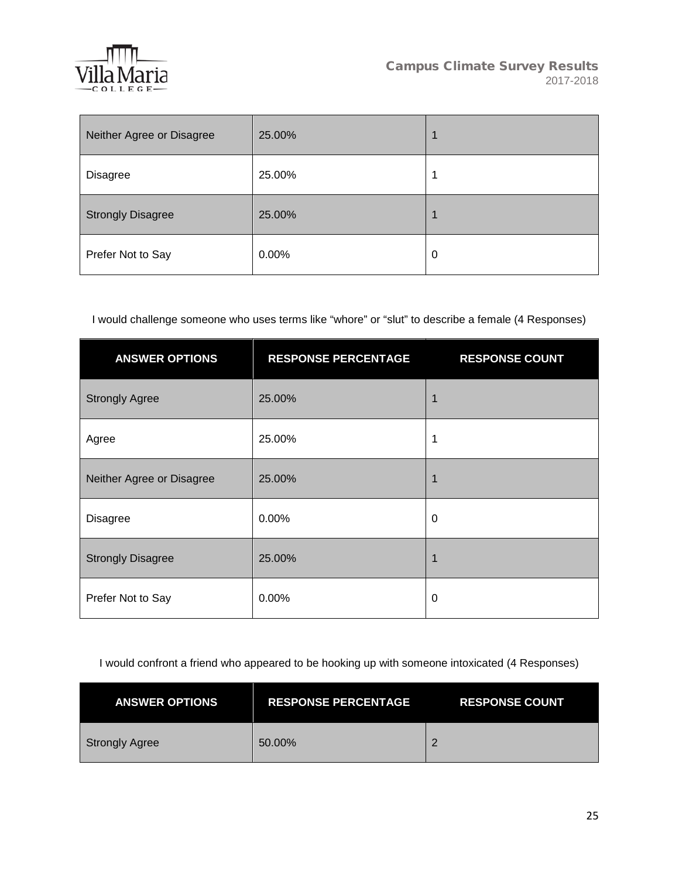

| Neither Agree or Disagree | 25.00% |   |
|---------------------------|--------|---|
| Disagree                  | 25.00% |   |
| <b>Strongly Disagree</b>  | 25.00% |   |
| Prefer Not to Say         | 0.00%  | 0 |

I would challenge someone who uses terms like "whore" or "slut" to describe a female (4 Responses)

| <b>ANSWER OPTIONS</b>     | <b>RESPONSE PERCENTAGE</b> | <b>RESPONSE COUNT</b> |
|---------------------------|----------------------------|-----------------------|
| <b>Strongly Agree</b>     | 25.00%                     | 1                     |
| Agree                     | 25.00%                     | 1                     |
| Neither Agree or Disagree | 25.00%                     | 1                     |
| <b>Disagree</b>           | $0.00\%$                   | 0                     |
| <b>Strongly Disagree</b>  | 25.00%                     | 1                     |
| Prefer Not to Say         | 0.00%                      | $\mathbf 0$           |

I would confront a friend who appeared to be hooking up with someone intoxicated (4 Responses)

| <b>ANSWER OPTIONS</b> | <b>RESPONSE PERCENTAGE</b> | <b>RESPONSE COUNT</b> |
|-----------------------|----------------------------|-----------------------|
| Strongly Agree        | 50.00%                     |                       |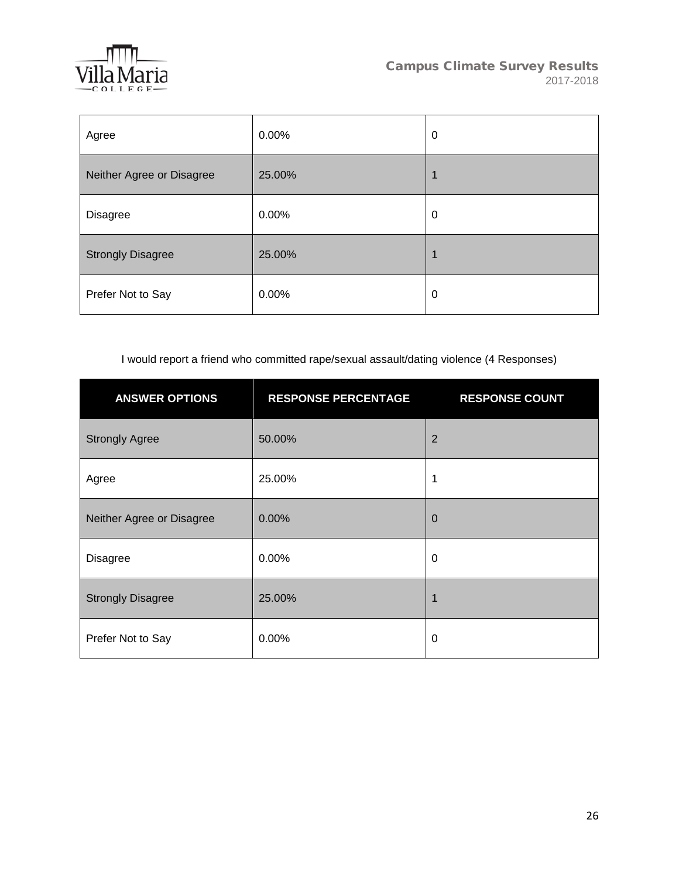

| Agree                     | 0.00%  | 0 |
|---------------------------|--------|---|
| Neither Agree or Disagree | 25.00% | 4 |
| <b>Disagree</b>           | 0.00%  | 0 |
| <b>Strongly Disagree</b>  | 25.00% | 1 |
| Prefer Not to Say         | 0.00%  | 0 |

I would report a friend who committed rape/sexual assault/dating violence (4 Responses)

| <b>ANSWER OPTIONS</b>     | <b>RESPONSE PERCENTAGE</b> | <b>RESPONSE COUNT</b> |
|---------------------------|----------------------------|-----------------------|
| <b>Strongly Agree</b>     | 50.00%                     | $\overline{2}$        |
| Agree                     | 25.00%                     | 1                     |
| Neither Agree or Disagree | 0.00%                      | $\mathbf 0$           |
| <b>Disagree</b>           | 0.00%                      | $\mathbf 0$           |
| <b>Strongly Disagree</b>  | 25.00%                     | 1                     |
| Prefer Not to Say         | 0.00%                      | $\mathbf 0$           |